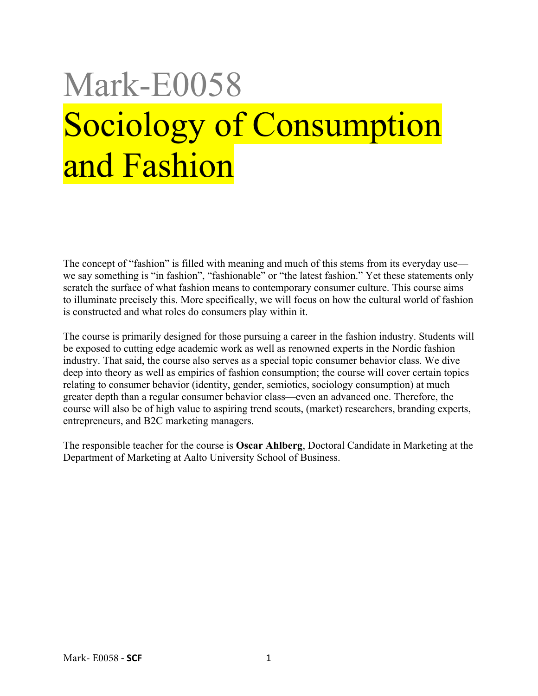# Mark-E0058 Sociology of Consumption and Fashion

The concept of "fashion" is filled with meaning and much of this stems from its everyday use we say something is "in fashion", "fashionable" or "the latest fashion." Yet these statements only scratch the surface of what fashion means to contemporary consumer culture. This course aims to illuminate precisely this. More specifically, we will focus on how the cultural world of fashion is constructed and what roles do consumers play within it.

The course is primarily designed for those pursuing a career in the fashion industry. Students will be exposed to cutting edge academic work as well as renowned experts in the Nordic fashion industry. That said, the course also serves as a special topic consumer behavior class. We dive deep into theory as well as empirics of fashion consumption; the course will cover certain topics relating to consumer behavior (identity, gender, semiotics, sociology consumption) at much greater depth than a regular consumer behavior class—even an advanced one. Therefore, the course will also be of high value to aspiring trend scouts, (market) researchers, branding experts, entrepreneurs, and B2C marketing managers.

The responsible teacher for the course is **Oscar Ahlberg**, Doctoral Candidate in Marketing at the Department of Marketing at Aalto University School of Business.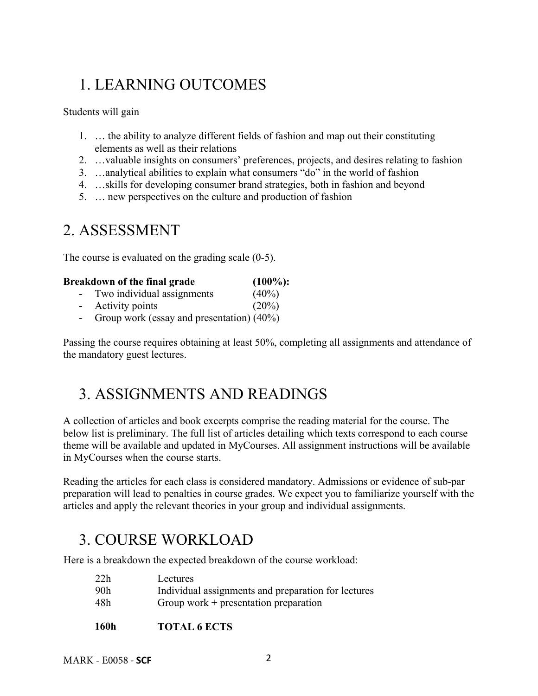# 1. LEARNING OUTCOMES

Students will gain

- 1. … the ability to analyze different fields of fashion and map out their constituting elements as well as their relations
- 2. …valuable insights on consumers' preferences, projects, and desires relating to fashion
- 3. …analytical abilities to explain what consumers "do" in the world of fashion
- 4. …skills for developing consumer brand strategies, both in fashion and beyond
- 5. … new perspectives on the culture and production of fashion

# 2. ASSESSMENT

The course is evaluated on the grading scale (0-5).

| Breakdown of the final grade |                            | $(100\%)$ : |
|------------------------------|----------------------------|-------------|
|                              | Two individual assignments | $(40\%)$    |
| $\sim$                       | Activity points            | $(20\%)$    |

- Group work (essay and presentation) (40%)

Passing the course requires obtaining at least 50%, completing all assignments and attendance of the mandatory guest lectures.

# 3. ASSIGNMENTS AND READINGS

A collection of articles and book excerpts comprise the reading material for the course. The below list is preliminary. The full list of articles detailing which texts correspond to each course theme will be available and updated in MyCourses. All assignment instructions will be available in MyCourses when the course starts.

Reading the articles for each class is considered mandatory. Admissions or evidence of sub-par preparation will lead to penalties in course grades. We expect you to familiarize yourself with the articles and apply the relevant theories in your group and individual assignments.

# 3. COURSE WORKLOAD

Here is a breakdown the expected breakdown of the course workload:

| 22h | Lectures                                            |  |
|-----|-----------------------------------------------------|--|
| 90h | Individual assignments and preparation for lectures |  |
| 48h | Group work $+$ presentation preparation             |  |
|     |                                                     |  |

**160h TOTAL 6 ECTS**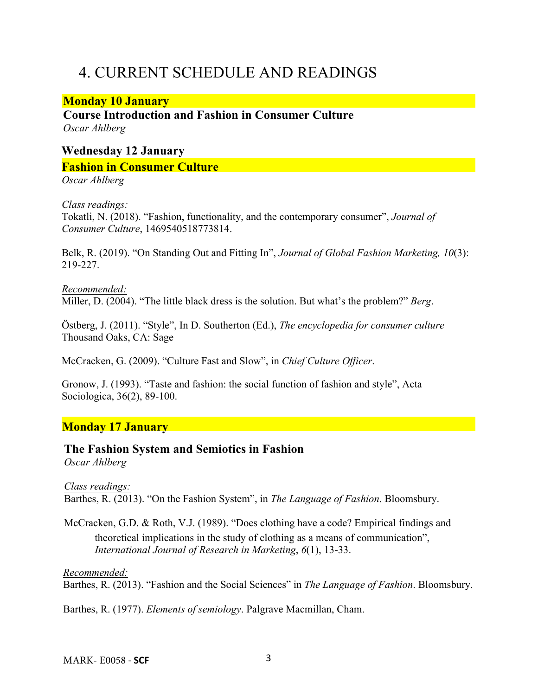# 4. CURRENT SCHEDULE AND READINGS

## **Monday 10 January**

**Course Introduction and Fashion in Consumer Culture**  *Oscar Ahlberg*

# **Wednesday 12 January Fashion in Consumer Culture**

*Oscar Ahlberg*

#### *Class readings:*

Tokatli, N. (2018). "Fashion, functionality, and the contemporary consumer", *Journal of Consumer Culture*, 1469540518773814.

Belk, R. (2019). "On Standing Out and Fitting In", *Journal of Global Fashion Marketing, 10*(3): 219-227.

#### *Recommended:*

Miller, D. (2004). "The little black dress is the solution. But what's the problem?" *Berg*.

Östberg, J. (2011). "Style", In D. Southerton (Ed.), *The encyclopedia for consumer culture* Thousand Oaks, CA: Sage

McCracken, G. (2009). "Culture Fast and Slow", in *Chief Culture Officer*.

Gronow, J. (1993). "Taste and fashion: the social function of fashion and style", Acta Sociologica, 36(2), 89-100.

## **Monday 17 January**

#### **The Fashion System and Semiotics in Fashion**  *Oscar Ahlberg*

*Class readings:*  Barthes, R. (2013). "On the Fashion System", in *The Language of Fashion*. Bloomsbury.

McCracken, G.D. & Roth, V.J. (1989). "Does clothing have a code? Empirical findings and theoretical implications in the study of clothing as a means of communication", *International Journal of Research in Marketing*, *6*(1), 13-33.

*Recommended:* 

Barthes, R. (2013). "Fashion and the Social Sciences" in *The Language of Fashion*. Bloomsbury.

Barthes, R. (1977). *Elements of semiology*. Palgrave Macmillan, Cham.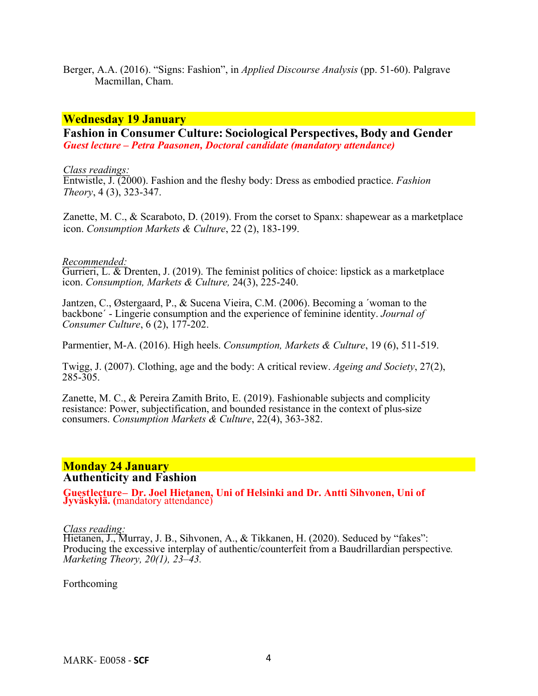Berger, A.A. (2016). "Signs: Fashion", in *Applied Discourse Analysis* (pp. 51-60). Palgrave Macmillan, Cham.

#### **Wednesday 19 January**

**Fashion in Consumer Culture: Sociological Perspectives, Body and Gender**  *Guest lecture – Petra Paasonen, Doctoral candidate (mandatory attendance)*

*Class readings:* 

Entwistle, J. (2000). Fashion and the fleshy body: Dress as embodied practice. *Fashion Theory*, 4 (3), 323-347.

Zanette, M. C., & Scaraboto, D. (2019). From the corset to Spanx: shapewear as a marketplace icon. *Consumption Markets & Culture*, 22 (2), 183-199.

#### *Recommended:*

Gurrieri, L. & Drenten, J. (2019). The feminist politics of choice: lipstick as a marketplace icon. *Consumption, Markets & Culture,* 24(3), 225-240.

Jantzen, C., Østergaard, P., & Sucena Vieira, C.M. (2006). Becoming a ´woman to the backbone´ - Lingerie consumption and the experience of feminine identity. *Journal of Consumer Culture*, 6 (2), 177-202.

Parmentier, M-A. (2016). High heels. *Consumption, Markets & Culture*, 19 (6), 511-519.

Twigg, J. (2007). Clothing, age and the body: A critical review. *Ageing and Society*, 27(2),  $285 - 305$ .

Zanette, M. C., & Pereira Zamith Brito, E. (2019). Fashionable subjects and complicity resistance: Power, subjectification, and bounded resistance in the context of plus-size consumers. *Consumption Markets & Culture*, 22(4), 363-382.

#### **Monday 24 January Authenticity and Fashion**

**Guestlecture– Dr. Joel Hietanen, Uni of Helsinki and Dr. Antti Sihvonen, Uni of Jyväskylä. (**mandatory attendance)

*Class reading:*

Hietanen, J., Murray, J. B., Sihvonen, A., & Tikkanen, H. (2020). Seduced by "fakes": Producing the excessive interplay of authentic/counterfeit from a Baudrillardian perspective*. Marketing Theory, 20(1), 23–43.*

Forthcoming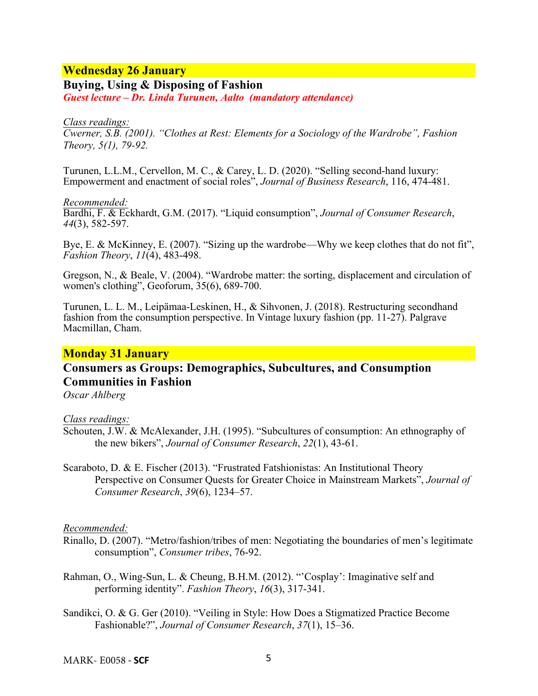## **Wednesday 26 January**

**Buying, Using & Disposing of Fashion**  *Guest lecture – Dr. Linda Turunen, Aalto (mandatory attendance)* 

#### *Class readings:*

*Cwerner, S.B. (2001). "Clothes at Rest: Elements for a Sociology of the Wardrobe", Fashion Theory, 5(1), 79-92.*

Turunen, L.L.M., Cervellon, M. C., & Carey, L. D. (2020). "Selling second-hand luxury: Empowerment and enactment of social roles", *Journal of Business Research*, 116, 474-481.

#### *Recommended:*

Bardhi, F. & Eckhardt, G.M. (2017). "Liquid consumption", *Journal of Consumer Research*, *44*(3), 582-597.

Bye, E. & McKinney, E. (2007). "Sizing up the wardrobe—Why we keep clothes that do not fit", *Fashion Theory*, *11*(4), 483-498.

Gregson, N., & Beale, V. (2004). "Wardrobe matter: the sorting, displacement and circulation of women's clothing", Geoforum, 35(6), 689-700.

Turunen, L. L. M., Leipämaa-Leskinen, H., & Sihvonen, J. (2018). Restructuring secondhand fashion from the consumption perspective. In Vintage luxury fashion (pp. 11-27). Palgrave Macmillan, Cham.

## **Monday 31 January**

## **Consumers as Groups: Demographics, Subcultures, and Consumption Communities in Fashion**

*Oscar Ahlberg*

*Class readings:* 

- Schouten, J.W. & McAlexander, J.H. (1995). "Subcultures of consumption: An ethnography of the new bikers", *Journal of Consumer Research*, *22*(1), 43-61.
- Scaraboto, D. & E. Fischer (2013). "Frustrated Fatshionistas: An Institutional Theory Perspective on Consumer Quests for Greater Choice in Mainstream Markets", *Journal of Consumer Research*, *39*(6), 1234–57.

#### *Recommended:*

- Rinallo, D. (2007). "Metro/fashion/tribes of men: Negotiating the boundaries of men's legitimate consumption", *Consumer tribes*, 76-92.
- Rahman, O., Wing-Sun, L. & Cheung, B.H.M. (2012). "'Cosplay': Imaginative self and performing identity". *Fashion Theory*, *16*(3), 317-341.
- Sandikci, O. & G. Ger (2010). "Veiling in Style: How Does a Stigmatized Practice Become Fashionable?", *Journal of Consumer Research*, *37*(1), 15–36.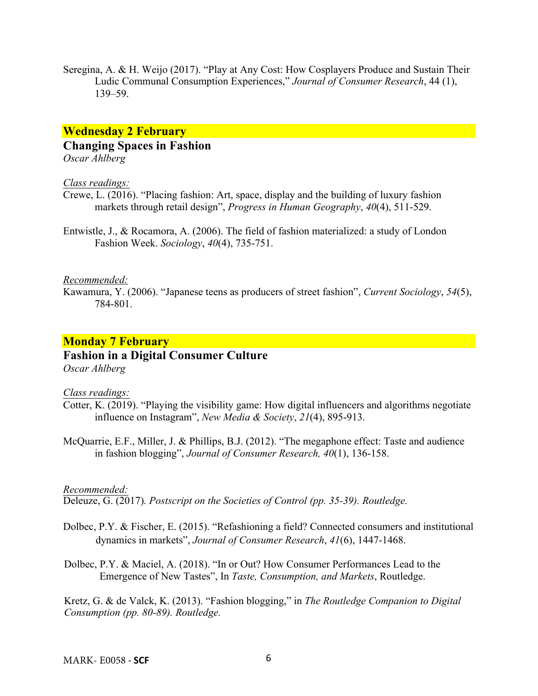Seregina, A. & H. Weijo (2017). "Play at Any Cost: How Cosplayers Produce and Sustain Their Ludic Communal Consumption Experiences," *Journal of Consumer Research*, 44 (1), 139–59.

## **Wednesday 2 February**

#### **Changing Spaces in Fashion**

*Oscar Ahlberg*

#### *Class readings:*

- Crewe, L. (2016). "Placing fashion: Art, space, display and the building of luxury fashion markets through retail design", *Progress in Human Geography*, *40*(4), 511-529.
- Entwistle, J., & Rocamora, A. (2006). The field of fashion materialized: a study of London Fashion Week. *Sociology*, *40*(4), 735-751.

#### *Recommended:*

Kawamura, Y. (2006). "Japanese teens as producers of street fashion", *Current Sociology*, *54*(5), 784-801.

#### **Monday 7 February**

## **Fashion in a Digital Consumer Culture**

*Oscar Ahlberg*

#### *Class readings:*

- Cotter, K. (2019). "Playing the visibility game: How digital influencers and algorithms negotiate influence on Instagram", *New Media & Society*, *21*(4), 895-913.
- McQuarrie, E.F., Miller, J. & Phillips, B.J. (2012). "The megaphone effect: Taste and audience in fashion blogging", *Journal of Consumer Research, 40*(1), 136-158.

#### *Recommended:*

Deleuze, G. (2017)*. Postscript on the Societies of Control (pp. 35-39). Routledge.*

- Dolbec, P.Y. & Fischer, E. (2015). "Refashioning a field? Connected consumers and institutional dynamics in markets", *Journal of Consumer Research*, *41*(6), 1447-1468.
- Dolbec, P.Y. & Maciel, A. (2018). "In or Out? How Consumer Performances Lead to the Emergence of New Tastes", In *Taste, Consumption, and Markets*, Routledge.

Kretz, G. & de Valck, K. (2013). "Fashion blogging," in *The Routledge Companion to Digital Consumption (pp. 80-89). Routledge.*